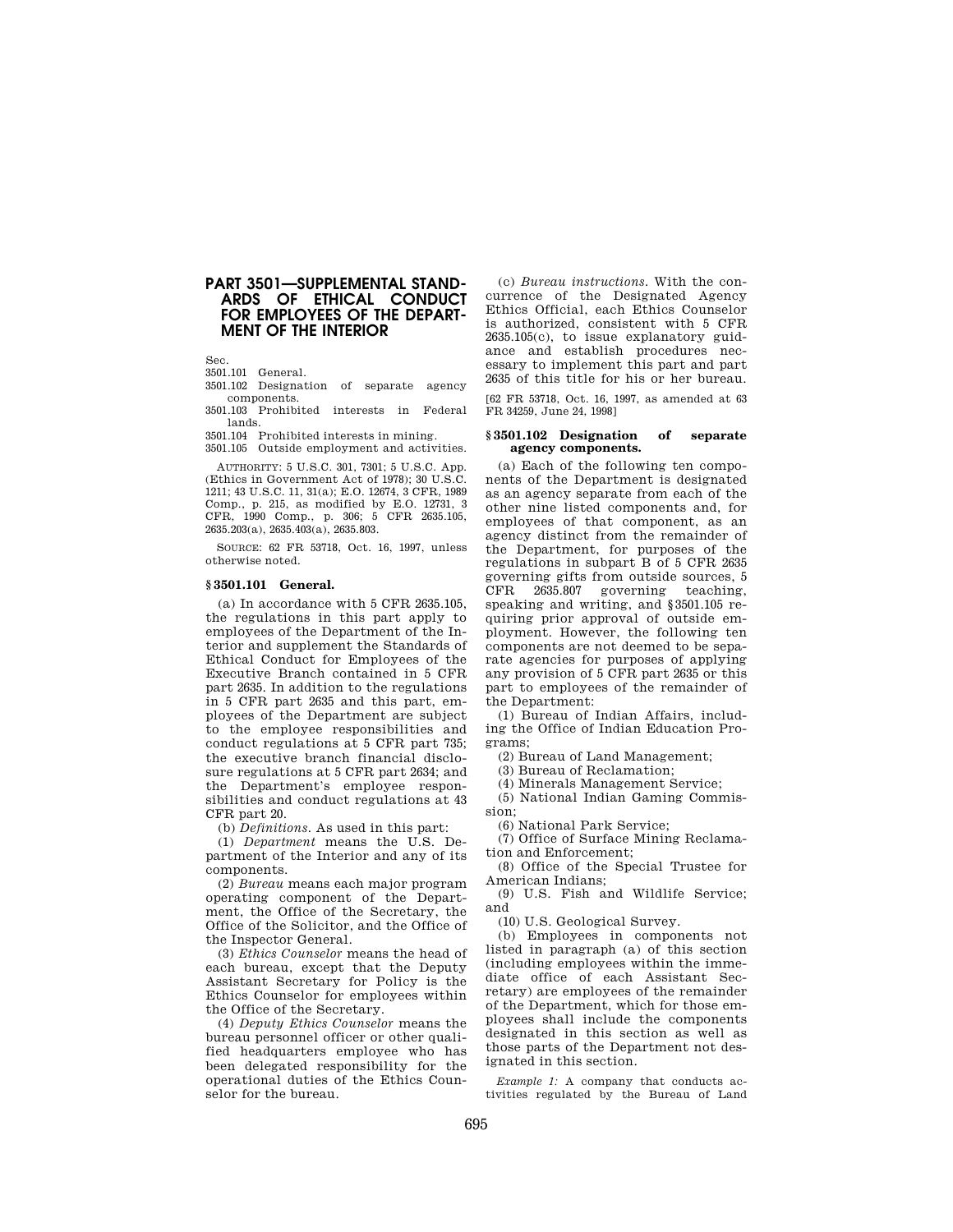## **PART 3501—SUPPLEMENTAL STAND-ARDS OF ETHICAL CONDUCT FOR EMPLOYEES OF THE DEPART-MENT OF THE INTERIOR**

Sec.

3501.101 General.

3501.102 Designation of separate agency components.

3501.103 Prohibited interests in Federal lands.

3501.104 Prohibited interests in mining. 3501.105 Outside employment and activities.

AUTHORITY: 5 U.S.C. 301, 7301; 5 U.S.C. App. (Ethics in Government Act of 1978); 30 U.S.C. 1211; 43 U.S.C. 11, 31(a); E.O. 12674, 3 CFR, 1989 Comp., p. 215, as modified by E.O. 12731, 3 CFR, 1990 Comp., p. 306; 5 CFR 2635.105, 2635.203(a), 2635.403(a), 2635.803.

SOURCE: 62 FR 53718, Oct. 16, 1997, unless otherwise noted.

#### **§ 3501.101 General.**

(a) In accordance with 5 CFR 2635.105, the regulations in this part apply to employees of the Department of the Interior and supplement the Standards of Ethical Conduct for Employees of the Executive Branch contained in 5 CFR part 2635. In addition to the regulations in 5 CFR part 2635 and this part, employees of the Department are subject to the employee responsibilities and conduct regulations at 5 CFR part 735; the executive branch financial disclosure regulations at 5 CFR part 2634; and the Department's employee responsibilities and conduct regulations at 43 CFR part 20.

(b) *Definitions.* As used in this part:

(1) *Department* means the U.S. Department of the Interior and any of its components.

(2) *Bureau* means each major program operating component of the Department, the Office of the Secretary, the Office of the Solicitor, and the Office of the Inspector General.

(3) *Ethics Counselor* means the head of each bureau, except that the Deputy Assistant Secretary for Policy is the Ethics Counselor for employees within the Office of the Secretary.

(4) *Deputy Ethics Counselor* means the bureau personnel officer or other qualified headquarters employee who has been delegated responsibility for the operational duties of the Ethics Counselor for the bureau.

(c) *Bureau instructions.* With the concurrence of the Designated Agency Ethics Official, each Ethics Counselor is authorized, consistent with 5 CFR 2635.105(c), to issue explanatory guidance and establish procedures necessary to implement this part and part 2635 of this title for his or her bureau.

[62 FR 53718, Oct. 16, 1997, as amended at 63 FR 34259, June 24, 1998]

### **§ 3501.102 Designation of separate agency components.**

(a) Each of the following ten components of the Department is designated as an agency separate from each of the other nine listed components and, for employees of that component, as an agency distinct from the remainder of the Department, for purposes of the regulations in subpart B of 5 CFR 2635 governing gifts from outside sources, 5 CFR 2635.807 governing teaching, speaking and writing, and §3501.105 requiring prior approval of outside employment. However, the following ten components are not deemed to be separate agencies for purposes of applying any provision of 5 CFR part 2635 or this part to employees of the remainder of the Department:

(1) Bureau of Indian Affairs, including the Office of Indian Education Programs;

(2) Bureau of Land Management;

(3) Bureau of Reclamation;

(4) Minerals Management Service;

(5) National Indian Gaming Commission;

(6) National Park Service;

(7) Office of Surface Mining Reclamation and Enforcement;

(8) Office of the Special Trustee for American Indians;

(9) U.S. Fish and Wildlife Service; and

(10) U.S. Geological Survey.

(b) Employees in components not listed in paragraph (a) of this section (including employees within the immediate office of each Assistant Secretary) are employees of the remainder of the Department, which for those employees shall include the components designated in this section as well as those parts of the Department not designated in this section.

*Example 1:* A company that conducts activities regulated by the Bureau of Land